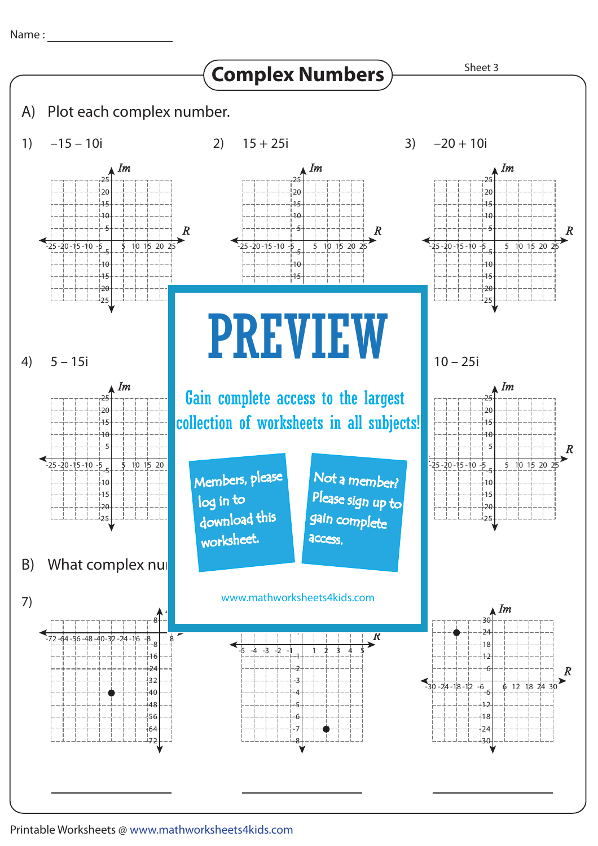